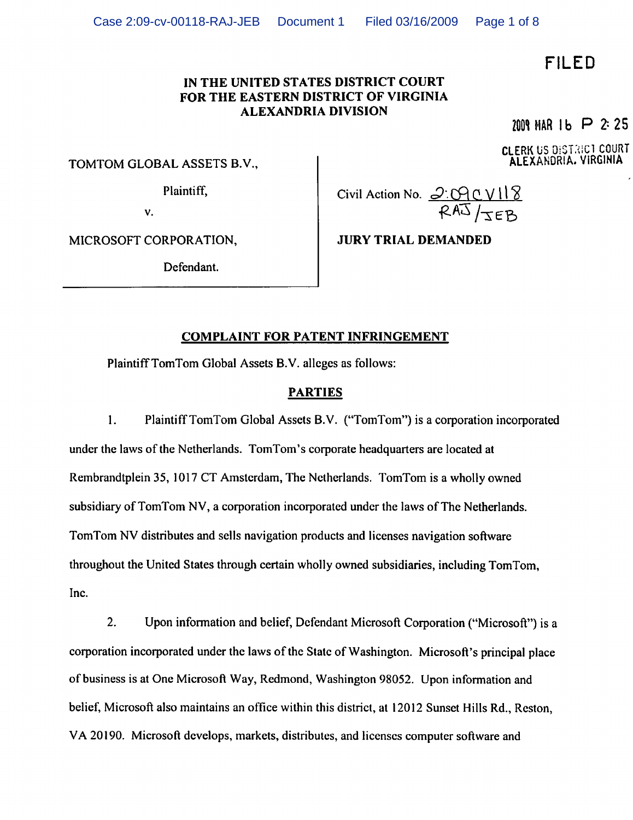# FILED

## IN THE UNITED STATES DISTRICT COURT FOR THE EASTERN DISTRICT OF VIRGINIA ALEXANDRIA DIVISION

2009 MAR 1 b  $\triangleright$  2:25

CLERK US OiSL'tiCl COURT ALEXANDRIA. VIRGINIA

TOMTOM GLOBAL ASSETS B.V.,

Plaintiff,

Civil Action No.  $\mathcal{Q}$ : C $\theta$  C V

v.

MICROSOFT CORPORATION,

Defendant.

# COMPLAINT FOR PATENT INFRINGEMENT

Plaintiff TomTom Global Assets B.V. alleges as follows:

## PARTIES

1. Plaintiff TomTom Global Assets B.V. ("TomTom") is a corporation incorporated under the laws of the Netherlands. TomTom's corporate headquarters are located at Rembrandtplein 35, 1017 CT Amsterdam, The Netherlands. TomTom is a wholly owned subsidiary of TomTom NV, a corporation incorporated under the laws of The Netherlands. TomTom NV distributes and sells navigation products and licenses navigation software throughout the United States through certain wholly owned subsidiaries, including TomTom, Inc.

2. Upon information and belief, Defendant Microsoft Corporation ("Microsoft") is a corporation incorporated under the laws of the State of Washington. Microsoft's principal place of business is at One Microsoft Way, Redmond, Washington 98052. Upon information and belief, Microsoft also maintains an office within this district, at 12012 Sunset Hills Rd., Reston, VA 20190. Microsoft develops, markets, distributes, and licenses computer software and

JURY TRIAL DEMANDED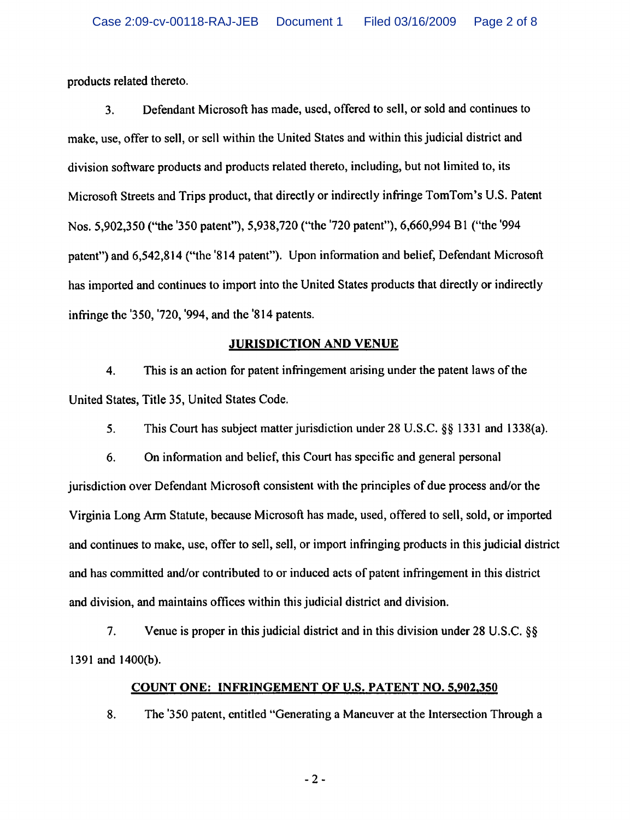products related thereto.

3. Defendant Microsoft has made, used, offered to sell, or sold and continues to make, use, offer to sell, or sell within the United States and within this judicial district and division software products and products related thereto, including, but not limited to, its Microsoft Streets and Trips product, that directly or indirectly infringe TomTom's U.S. Patent Nos. 5,902,350 ("the '350 patent"), 5,938,720 ("the '720 patent"), 6,660,994 Bl ("the '994 patent") and 6,542,814 ("the "814 patent"). Upon information and belief, Defendant Microsoft has imported and continues to import into the United States products that directly or indirectly infringe the '350, '720, "994, and the '814 patents.

# JURISDICTION AND VENUE

4. This is an action for patent infringement arising under the patent laws of the United States, Title 35, United States Code.

5. This Court has subject matter jurisdiction under 28 U.S.C. §§ 1331 and 1338(a).

6. On information and belief, this Court has specific and general personal jurisdiction over Defendant Microsoft consistent with the principles of due process and/or the Virginia Long Arm Statute, because Microsoft has made, used, offered to sell, sold, or imported and continues to make, use, offer to sell, sell, or import infringing products in this judicial district and has committed and/or contributed to or induced acts of patent infringement in this district and division, and maintains offices within this judicial district and division.

7. Venue is proper in this judicial district and in this division under 28 U.S.C. §§ 1391 and 1400(b).

## COUNT ONE: INFRINGEMENT OF U.S. PATENT NO. 5,902,350

8. The '350 patent, entitled "Generating a Maneuver at the Intersection Through a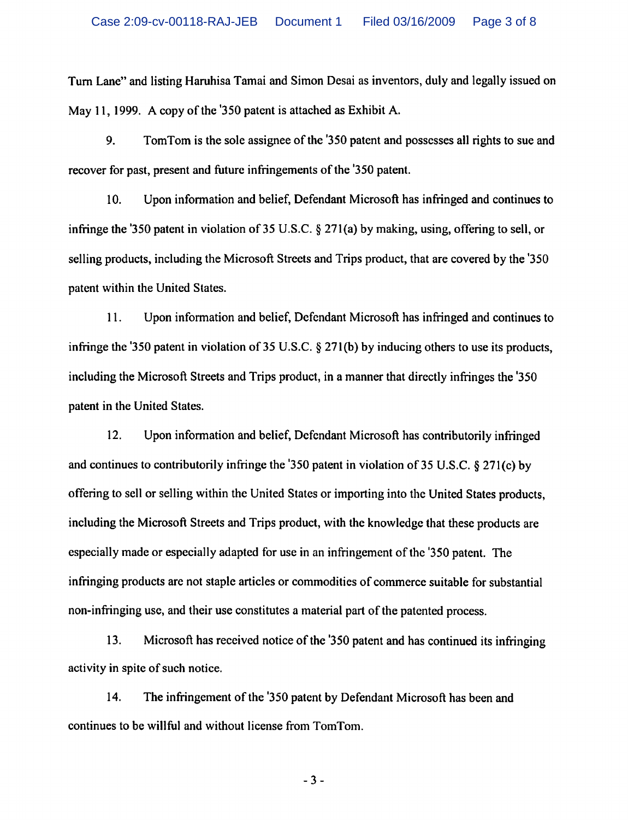Turn Lane" and listing Haruhisa Tamai and Simon Desai as inventors, duly and legally issued on May 11, 1999. A copy of the '350 patent is attached as Exhibit A.

9. TomTom is the sole assignee of the '350 patent and possesses all rights to sue and recover for past, present and future infringements of the '350 patent.

10. Upon information and belief, Defendant Microsoft has infringed and continues to infringe the '350 patent in violation of 35 U.S.C. § 271(a) by making, using, offering to sell, or selling products, including the Microsoft Streets and Trips product, that are covered by the '350 patent within the United States.

11. Upon information and belief, Defendant Microsoft has infringed and continues to infringe the '350 patent in violation of 35 U.S.C. § 271(b) by inducing others to use its products, including the Microsoft Streets and Trips product, in a manner that directly infringes the '350 patent in the United States.

12. Upon information and belief, Defendant Microsoft has contributorily infringed and continues to contributorily infringe the '350 patent in violation of 35 U.S.C. § 271(c) by offering to sell or selling within the United States or importing into the United States products, including the Microsoft Streets and Trips product, with the knowledge that these products are especially made or especially adapted for use in an infringement of the '350 patent. The infringing products are not staple articles or commodities of commerce suitable for substantial non-infringing use, and their use constitutes a material part of the patented process.

13. Microsoft has received notice of the '350 patent and has continued its infringing activity in spite of such notice.

14. The infringement of the '350 patent by Defendant Microsoft has been and continues to be willful and without license from TomTom.

-3-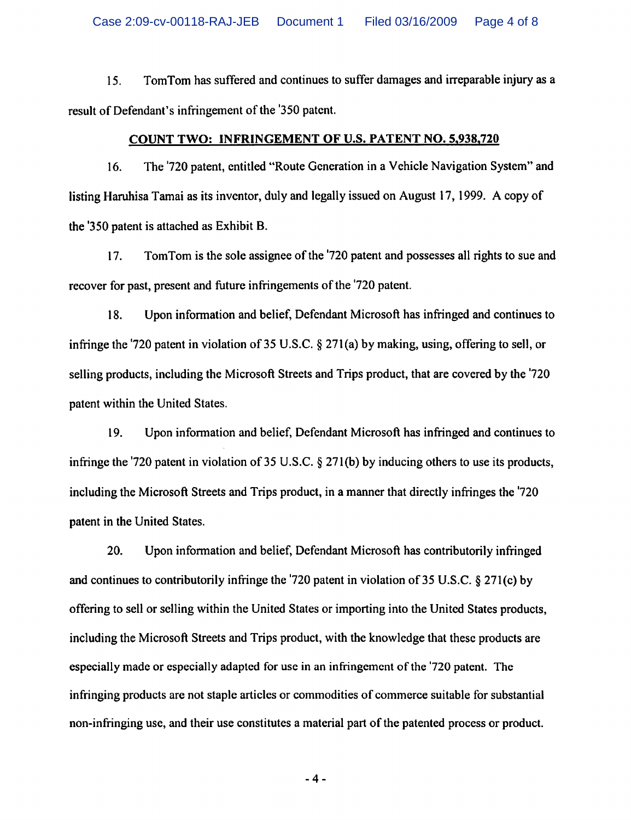15. TomTom has suffered and continues to suffer damages and irreparable injury as a result of Defendant's infringement of the '350 patent.

#### COUNT TWO: INFRINGEMENT OF U.S. PATENT NO. 5.938.720

16. The '720 patent, entitled "Route Generation in a Vehicle Navigation System" and listing Haruhisa Tamai as its inventor, duly and legally issued on August 17,1999. A copy of the '350 patent is attached as Exhibit B.

17. TomTom is the sole assignee of the '720 patent and possesses all rights to sue and recover for past, present and future infringements of the '720 patent.

18. Upon information and belief, Defendant Microsoft has infringed and continues to infringe the '720 patent in violation of 35 U.S.C. § 271 (a) by making, using, offering to sell, or selling products, including the Microsoft Streets and Trips product, that are covered by the '720 patent within the United States.

19. Upon information and belief, Defendant Microsoft has infringed and continues to infringe the '720 patent in violation of 35 U.S.C. § 271(b) by inducing others to use its products, including the Microsoft Streets and Trips product, in a manner that directly infringes the '720 patent in the United States.

20. Upon information and belief, Defendant Microsoft has contributorily infringed and continues to contributorily infringe the '720 patent in violation of 35 U.S.C. § 271(c) by offering to sell or selling within the United States or importing into the United States products, including the Microsoft Streets and Trips product, with the knowledge that these products are especially made or especially adapted for use in an infringement of the "720 patent. The infringing products are not staple articles or commodities of commerce suitable for substantial non-infringing use, and their use constitutes a material part of the patented process or product.

-4-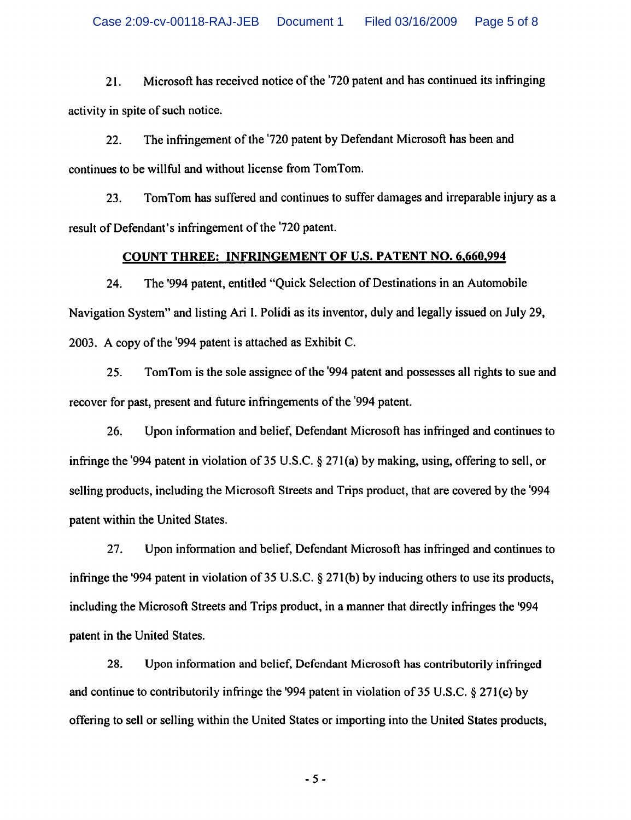21. Microsoft has received notice of the "720 patent and has continued its infringing activity in spite of such notice.

22. The infringement of the '720 patent by Defendant Microsoft has been and continues to be willful and without license from TomTom.

23. TomTom has suffered and continues to suffer damages and irreparable injury as a result of Defendant's infringement of the '720 patent.

# COUNT THREE: INFRINGEMENT OF U.S. PATENT NO. 6.660.994

24. The '994 patent, entitled "Quick Selection of Destinations in an Automobile Navigation System" and listing Ari I. Polidi as its inventor, duly and legally issued on July 29, 2003. A copy of the '994 patent is attached as Exhibit C.

25. TomTom is the sole assignee of the '994 patent and possesses all rights to sue and recover for past, present and future infringements of the '994 patent.

26. Upon information and belief, Defendant Microsoft has infringed and continues to infringe the '994 patent in violation of 35 U.S.C. § 271 (a) by making, using, offering to sell, or selling products, including the Microsoft Streets and Trips product, that are covered by the '994 patent within the United States.

27. Upon information and belief, Defendant Microsoft has infringed and continues to infringe the '994 patent in violation of 35 U.S.C. § 271(b) by inducing others to use its products, including the Microsoft Streets and Trips product, in a manner that directly infringes the '994 patent in the United States.

28. Upon information and belief, Defendant Microsoft has contributorily infringed and continue to contributorily infringe the '994 patent in violation of 35 U.S.C. § 271(c) by offering to sell or selling within the United States or importing into the United States products,

-5-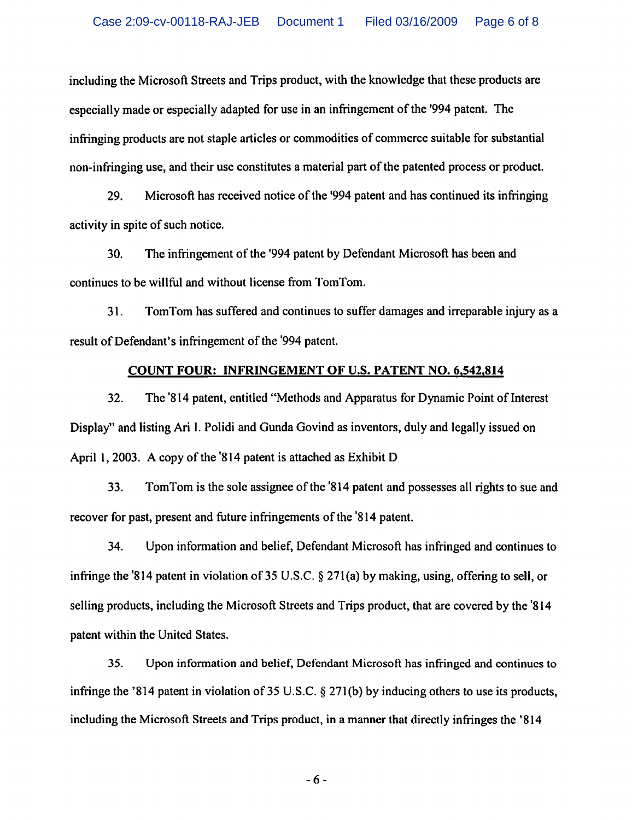including the Microsoft Streets and Trips product, with the knowledge that these products are especially made or especially adapted for use in an infringement of the '994 patent. The infringing products are not staple articles or commodities of commerce suitable for substantial non-infringing use, and their use constitutes a material part of the patented process or product.

29. Microsoft has received notice of the '994 patent and has continued its infringing activity in spite of such notice.

30. The infringement of the '994 patent by Defendant Microsoft has been and continues to be willful and without license from TomTom.

31. TomTom has suffered and continues to suffer damages and irreparable injury as a result of Defendant's infringement of the "994 patent.

#### COUNT FOUR: INFRINGEMENT OF U.S. PATENT NO. 6,542,814

32. The '814 patent, entitled "Methods and Apparatus for Dynamic Point of Interest Display" and listing Ari I. Polidi and Gunda Govind as inventors, duly and legally issued on April 1,2003. A copy of the '814 patent is attached as Exhibit D

33. TomTom is the sole assignee of the '814 patent and possesses all rights to sue and recover for past, present and future infringements of the '814 patent.

34. Upon information and belief, Defendant Microsoft has infringed and continues to infringe the '814 patent in violation of 35 U.S.C. § 271(a) by making, using, offering to sell, or selling products, including the Microsoft Streets and Trips product, that are covered by the '814 patent within the United States.

35. Upon information and belief, Defendant Microsoft has infringed and continues to infringe the '814 patent in violation of 35 U.S.C. § 271(b) by inducing others to use its products, including the Microsoft Streets and Trips product, in a manner that directly infringes the '814

-6-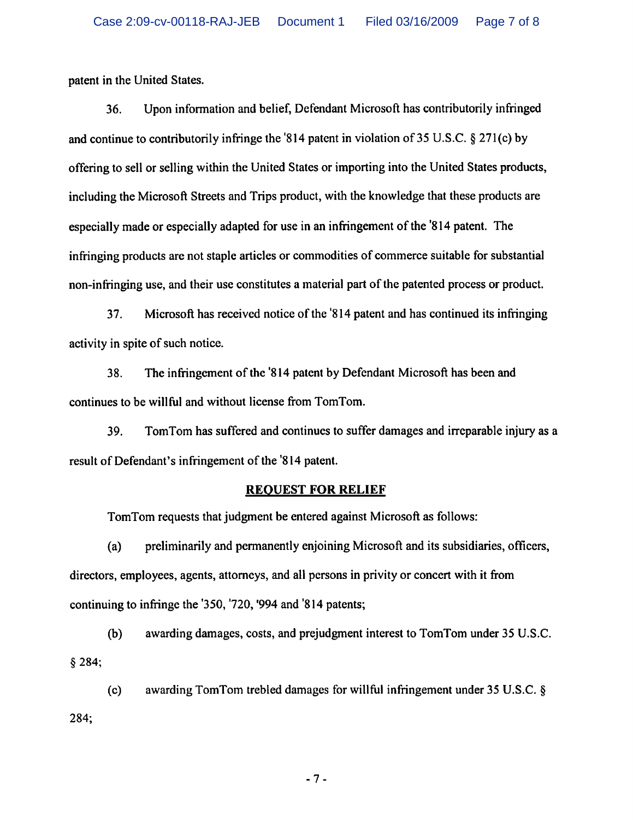patent in the United States.

36. Upon information and belief, Defendant Microsoft has contributorily infringed and continue to contributorily infringe the '814 patent in violation of 35 U.S.C. § 271(c) by offering to sell or selling within the United States or importing into the United States products, including the Microsoft Streets and Trips product, with the knowledge that these products are especially made or especially adapted for use in an infringement of the '814 patent. The infringing products are not staple articles or commodities of commerce suitable for substantial non-infringing use, and their use constitutes a material part of the patented process or product.

37. Microsoft has received notice of the '814 patent and has continued its infringing activity in spite of such notice.

38. The infringement of the '814 patent by Defendant Microsoft has been and continues to be willful and without license from TomTom.

39. TomTom has suffered and continues to suffer damages and irreparable injury as a result of Defendant's infringement of the '814 patent.

#### REQUEST FOR RELIEF

TomTom requests that judgment be entered against Microsoft as follows:

(a) preliminarily and permanently enjoining Microsoft and its subsidiaries, officers, directors, employees, agents, attorneys, and all persons in privity or concert with it from continuing to infringe the '350, '720, '994 and '814 patents;

(b) awarding damages, costs, and prejudgment interest to TomTom under 35 U.S.C. §284;

(c) awarding TomTom trebled damages for willful infringement under 35 U.S.C. § 284;